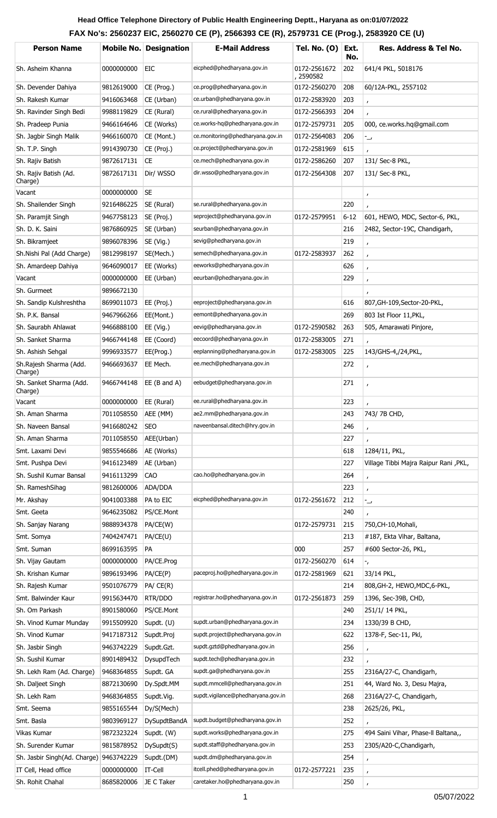## **Head Office Telephone Directory of Public Health Engineering Deptt., Haryana as on: 01/07/2022 FAX No's: 2560237 EIC, 2560270 CE (P), 2566393 CE (R), 2579731 CE (Prog.), 2583920 CE (U)**

| <b>Person Name</b>                      |                       | <b>Mobile No. Designation</b> | <b>E-Mail Address</b>              | <b>Tel. No. (0)</b>       | Ext.<br>No. | <b>Res. Address &amp; Tel No.</b>     |
|-----------------------------------------|-----------------------|-------------------------------|------------------------------------|---------------------------|-------------|---------------------------------------|
| Sh. Asheim Khanna                       | 0000000000            | EIC                           | eicphed@phedharyana.gov.in         | 0172-2561672<br>, 2590582 | 202         | 641/4 PKL, 5018176                    |
| Sh. Devender Dahiya                     | 9812619000            | CE (Prog.)                    | ce.prog@phedharyana.gov.in         | 0172-2560270              | 208         | 60/12A-PKL, 2557102                   |
| Sh. Rakesh Kumar                        | 9416063468            | CE (Urban)                    | ce.urban@phedharyana.gov.in        | 0172-2583920              | 203         | $\mathbf{r}$                          |
| Sh. Ravinder Singh Bedi                 | 9988119829            | CE (Rural)                    | ce.rural@phedharyana.gov.in        | 0172-2566393              | 204         |                                       |
| Sh. Pradeep Punia                       | 9466164646            | CE (Works)                    | ce.works-hq@phedharyana.gov.in     | 0172-2579731              | 205         | 000, ce.works.hq@gmail.com            |
| Sh. Jagbir Singh Malik                  | 9466160070            | CE (Mont.)                    | ce.monitoring@phedharyana.gov.in   | 0172-2564083              | 206         | $\overline{\phantom{a}}$              |
| Sh. T.P. Singh                          | 9914390730            | CE (Proj.)                    | ce.project@phedharyana.gov.in      | 0172-2581969              | 615         |                                       |
| Sh. Rajiv Batish                        | 9872617131            | <b>CE</b>                     | ce.mech@phedharyana.gov.in         | 0172-2586260              | 207         | 131/ Sec-8 PKL,                       |
| Sh. Rajiv Batish (Ad.<br>Charge)        | 9872617131            | Dir/ WSSO                     | dir.wsso@phedharyana.gov.in        | 0172-2564308              | 207         | 131/ Sec-8 PKL,                       |
| Vacant                                  | 0000000000            | <b>SE</b>                     |                                    |                           |             | $\pmb{r}$                             |
| Sh. Shailender Singh                    | 9216486225            | SE (Rural)                    | se.rural@phedharyana.gov.in        |                           | 220         |                                       |
| Sh. Paramjit Singh                      | 9467758123            | SE (Proj.)                    | seproject@phedharyana.gov.in       | 0172-2579951              | $6 - 12$    | 601, HEWO, MDC, Sector-6, PKL,        |
| Sh. D. K. Saini                         | 9876860925            | SE (Urban)                    | seurban@phedharyana.gov.in         |                           | 216         | 2482, Sector-19C, Chandigarh,         |
| Sh. Bikramjeet                          | 9896078396            | SE (Vig.)                     | sevig@phedharyana.gov.in           |                           | 219         | $\mathbf{r}$                          |
| Sh.Nishi Pal (Add Charge)               | 9812998197            | SE(Mech.)                     | semech@phedharyana.gov.in          | 0172-2583937              | 262         | $\mathbf{r}$                          |
| Sh. Amardeep Dahiya                     | 9646090017            | EE (Works)                    | eeworks@phedharyana.gov.in         |                           | 626         | $\mathbf{r}$                          |
| Vacant                                  | 0000000000            | EE (Urban)                    | eeurban@phedharyana.gov.in         |                           | 229         | $\mathbf{r}$                          |
| Sh. Gurmeet                             | 9896672130            |                               |                                    |                           |             |                                       |
| Sh. Sandip Kulshreshtha                 | 8699011073            | EE (Proj.)                    | eeproject@phedharyana.gov.in       |                           | 616         | 807, GH-109, Sector-20-PKL,           |
| Sh. P.K. Bansal                         | 9467966266            | EE(Mont.)                     | eemont@phedharyana.gov.in          |                           | 269         | 803 Ist Floor 11, PKL,                |
| Sh. Saurabh Ahlawat                     | 9466888100            | $EE$ (Vig.)                   | eevig@phedharyana.gov.in           | 0172-2590582              | 263         | 505, Amarawati Pinjore,               |
| Sh. Sanket Sharma                       | 9466744148            | EE (Coord)                    | eecoord@phedharyana.gov.in         | 0172-2583005              | 271         |                                       |
| Sh. Ashish Sehgal                       | 9996933577            | EE(Prog.)                     | eeplanning@phedharyana.gov.in      | 0172-2583005              | 225         | 143/GHS-4,/24, PKL,                   |
| Sh.Rajesh Sharma (Add.<br>Charge)       | 9466693637            | EE Mech.                      | ee.mech@phedharyana.gov.in         |                           | 272         | $\mathbf{r}$                          |
| Sh. Sanket Sharma (Add.<br>Charge)      | 9466744148            | $EE$ (B and A)                | eebudget@phedharyana.gov.in        |                           | 271         | $\mathbf{r}$                          |
| Vacant                                  | 0000000000            | EE (Rural)                    | ee.rural@phedharyana.gov.in        |                           | 223         |                                       |
| Sh. Aman Sharma                         | 7011058550            | AEE (MM)                      | ae2.mm@phedharyana.gov.in          |                           | 243         | 743/7B CHD,                           |
| Sh. Naveen Bansal                       | 9416680242            | <b>SEO</b>                    | naveenbansal.ditech@hry.gov.in     |                           | 246         | $\mathbf{r}$                          |
| Sh. Aman Sharma                         | 7011058550            | AEE(Urban)                    |                                    |                           | 227         |                                       |
| Smt. Laxami Devi                        | 9855546686            | AE (Works)                    |                                    |                           | 618         | 1284/11, PKL,                         |
| Smt. Pushpa Devi                        | 9416123489            | AE (Urban)                    |                                    |                           | 227         | Village Tibbi Majra Raipur Rani, PKL, |
| Sh. Sushil Kumar Bansal                 | 9416113299            | CAO                           | cao.ho@phedharyana.gov.in          |                           | 264         | $\pmb{r}$                             |
| Sh. RameshSihag                         | 9812600006            | ADA/DDA                       |                                    |                           | 223         | $\mathbf{r}$                          |
| Mr. Akshay                              | 9041003388            | PA to EIC                     | eicphed@phedharyana.gov.in         | 0172-2561672              | 212         | ر-                                    |
| Smt. Geeta                              | 9646235082            | PS/CE.Mont                    |                                    |                           | 240         |                                       |
| Sh. Sanjay Narang                       | 9888934378            | PA/CE(W)                      |                                    | 0172-2579731              | 215         | 750, CH-10, Mohali,                   |
| Smt. Somya                              | 7404247471            | PA/CE(U)                      |                                    |                           | 213         | #187, Ekta Vihar, Baltana,            |
| Smt. Suman                              | 8699163595            | PA                            |                                    | 000                       | 257         | #600 Sector-26, PKL,                  |
| Sh. Vijay Gautam                        | 0000000000            | PA/CE.Prog                    |                                    | 0172-2560270              | 614         | ۰,                                    |
| Sh. Krishan Kumar                       | 9896193496            | PA/CE(P)                      | paceproj.ho@phedharyana.gov.in     | 0172-2581969              | 621         | 33/14 PKL,                            |
| Sh. Rajesh Kumar                        | 9501076779            | $PA/$ CE $(R)$                |                                    |                           | 214         | 808, GH-2, HEWO, MDC, 6-PKL,          |
| Smt. Balwinder Kaur                     | 9915634470            | RTR/DDO                       | registrar.ho@phedharyana.gov.in    | 0172-2561873              | 259         | 1396, Sec-39B, CHD,                   |
| Sh. Om Parkash                          | 8901580060            | PS/CE.Mont                    |                                    |                           | 240         | 251/1/14 PKL,                         |
| Sh. Vinod Kumar Munday                  | 9915509920            | Supdt. (U)                    | supdt.urban@phedharyana.gov.in     |                           | 234         | 1330/39 B CHD,                        |
| Sh. Vinod Kumar                         | 9417187312            | Supdt.Proj                    | supdt.project@phedharyana.gov.in   |                           | 622         | 1378-F, Sec-11, Pkl,                  |
| Sh. Jasbir Singh                        | 9463742229            | Supdt.Gzt.                    | supdt.gztd@phedharyana.gov.in      |                           | 256         | $\mathbf{r}$                          |
| Sh. Sushil Kumar                        | 8901489432            | DysupdTech                    | supdt.tech@phedharyana.gov.in      |                           | 232         |                                       |
| Sh. Lekh Ram (Ad. Charge)               | 9468364855            | Supdt. GA                     | supdt.ga@phedharyana.gov.in        |                           | 255         | 2316A/27-C, Chandigarh,               |
| Sh. Daljeet Singh                       | 8872130690            | Dy.Spdt.MM                    | supdt.mmcell@phedharyana.gov.in    |                           | 251         | 44, Ward No. 3, Desu Majra,           |
| Sh. Lekh Ram                            | 9468364855            | Supdt.Vig.                    | supdt.vigilance@phedharyana.gov.in |                           | 268         | 2316A/27-C, Chandigarh,               |
| Smt. Seema                              | 9855165544            | Dy/S(Mech)                    |                                    |                           | 238         | 2625/26, PKL,                         |
| Smt. Basla                              | 9803969127            | <b>DySupdtBandA</b>           | supdt.budget@phedharyana.gov.in    |                           | 252         |                                       |
| Vikas Kumar                             | 9872323224            | Supdt. (W)                    | supdt.works@phedharyana.gov.in     |                           | 275         | 494 Saini Vihar, Phase-Il Baltana,,   |
| Sh. Surender Kumar                      | 9815878952            | DySupdt(S)                    | supdt.staff@phedharyana.gov.in     |                           | 253         | 2305/A20-C, Chandigarh,               |
| Sh. Jasbir Singh(Ad. Charge) 9463742229 |                       | Supdt.(DM)                    | supdt.dm@phedharyana.gov.in        |                           | 254         | $\mathbf{r}$                          |
| IT Cell, Head office                    | 0000000000            | <b>IT-Cell</b>                | itcell.phed@phedharyana.gov.in     | 0172-2577221              | 235         |                                       |
| Sh. Rohit Chahal                        | 8685820006 JE C Taker |                               | caretaker.ho@phedharyana.gov.in    |                           | 250         |                                       |